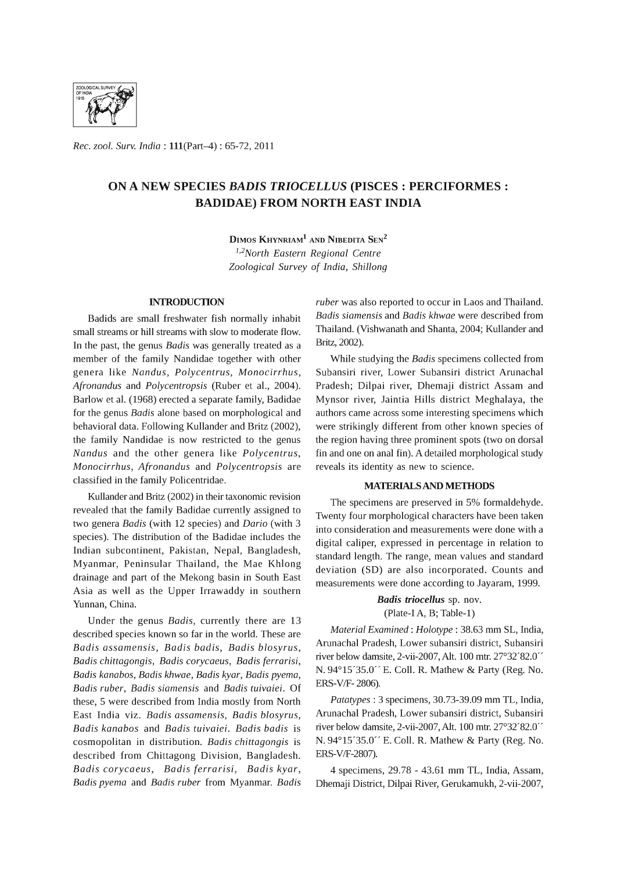

*Rec. zool. Surv. India:* l11(Part-4) : 65-72, 2011

# ON A NEW SPECIES *BADIS TRIOCELLUS* (PISCES: PERCIFORMES : BADIDAE) FROM NORTH EAST INDIA

DIMOS KHYNRIAM<sup>1</sup> AND NIBEDITA SEN<sup>2</sup> *1,2North Eastern Regional Centre Zoological Survey* of *India, Shillong* 

### **INTRODUCTION**

Badids are small freshwater fish normally inhabit small streams or hill streams with slow to moderate flow. In the past, the genus *Badis* was generally treated as a member of the family Nandidae together with other genera like *Nandus, Polycentrus, Monocirrhus, Afronandus* and *Polycentropsis* (Ruber et aI., 2004). Barlow et aI. (1968) erected a separate family, Badidae for the genus *Badis* alone based on morphological and behavioral data. Following Kullander and Britz (2002), the family Nandidae is now restricted to the genus *Nandus* and the other genera like *Polycentrus, Monocirrhus, Afronandus* and *Polycentropsis* are classified in the family Policentridae.

Kullander and Britz (2002) in their taxonomic revision revealed that the family Badidae currently assigned to two genera *Badis* (with 12 species) and *Dario* (with 3 species). The distribution of the Badidae includes the Indian subcontinent, Pakistan, Nepal, Bangladesh, Myanmar, Peninsular Thailand, the Mae Khlong drainage and part of the Mekong basin in South East Asia as well as the Upper Irrawaddy in southern Yunnan, China.

Under the genus *Badis,* currently there are 13 described species known so far in the world. These are *Badis assamensis, Badis badis, Badis blosyrus, Badis chittagongis, Badis corycaeus, Badis ferrarisi, Badis kanabos, Badis khwae, Badis kyar, Badis pyema, Badis ruber, Badis siamensis* and *Badis tuivaiei.* Of these, 5 were described from India mostly from North East India viz. *Badis assamensis, Badis blosyrus, Badis kanabos* and *Badis tuivaiei. Badis badis* is cosmopolitan in distribution. *Badis chittagongis* is described from Chittagong Division, Bangladesh. *Badis corycaeus, Badis ferrarisi, Badis kyar, Badis pyema* and *Badis ruber* from Myanmar. *Badis*  *ruber* was also reported to occur in Laos and Thailand. *Badis siamensis* and *Badis khwae* were described from Thailand. (Vishwanath and Shanta, 2004; Kullander and Britz, 2002).

While studying the *Badis* specimens collected from Subansiri river, Lower Subansiri district Arunachal Pradesh; Dilpai river, Dhemaji district Assam and Mynsor river, laintia Hills district Meghalaya, the authors came across some interesting specimens which were strikingly different from other known species of the region having three prominent spots (two on dorsal fin and one on anal fin). A detailed morphological study reveals its identity as new to science.

### MATERIALS AND METHODS

The specimens are preserved in 5% formaldehyde. Twenty four morphological characters have been taken into consideration and measurements were done with a digital caliper, expressed in percentage in relation to standard length. The range, mean values and standard deviation (SD) are also incorporated. Counts and measurements were done according to layaram, 1999.

> *Budis triocellus* sp. nov. (Plate-I A, B; Table-I)

*Material Examined: Holotype* : 38.63 mm SL, India, Arunachal Pradesh, Lower subansiri district, Subansiri river below damsite, 2-vii-2007, Alt. 100 mtr. 27°32'82.0" N. 94°15'35.0" E. ColI. R. Mathew & Party (Reg. No. ERS-V/F- 2806).

*Patatypes* : 3 specimens, 30.73-39.09 mm TL, India, Arunachal Pradesh, Lower subansiri district, Subansiri river below damsite, 2-vii-2007, Alt. 100 mtr. 27°32'82.0" N. 94°15'35.0" E. ColI. R. Mathew & Party (Reg. No. ERS-V/F-2807).

4 specimens, 29.78 - 43.61 mm TL, India, Assam, Dhemaji District, Dilpai River, Gerukamukh, 2-vii-2007,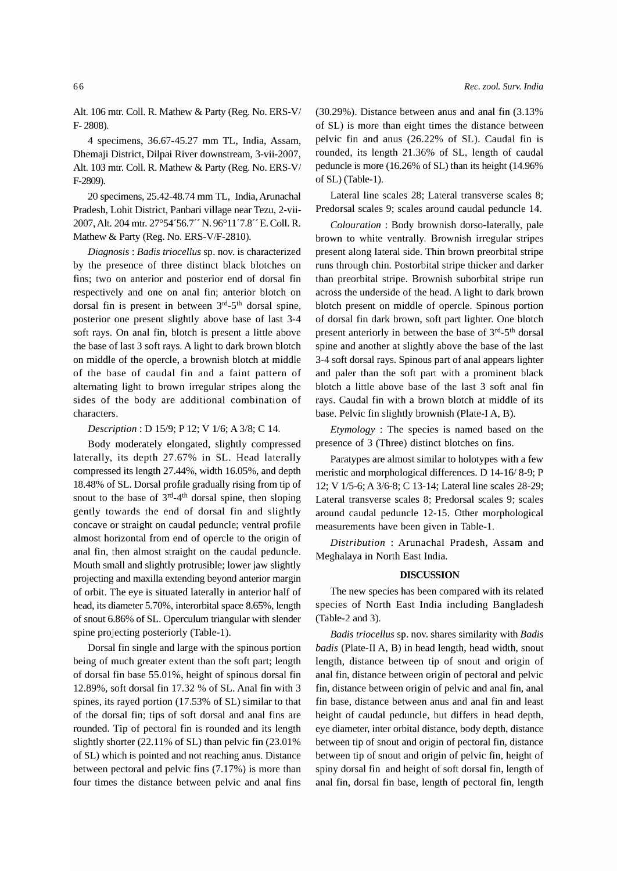Alt. 106 mtr. ColI. R. Mathew & Party (Reg. No. ERS-V/ F- 2808).

4 specimens, 36.67-45.27 mm TL, India, Assam, Dhemaji District, Dilpai River downstream, 3-vii-2007, Alt. 103 mtr. ColI. R. Mathew & Party (Reg. No. ERS-V/ F-2809).

20 specimens, 25.42-48.74 mm TL, India, Arunachal Pradesh, Lohit District, Panbari village near Tezu, 2-vii-2007, Alt. 204 mtr. 27°54'56. T' N. 96°11'7.8" E. ColI. R. Mathew & Party (Reg. No. ERS-V/F-2810).

*Diagnosis: Badis triocellus* sp. nov. is characterized by the presence of three distinct black blotches on fins; two on anterior and posterior end of dorsal fin respectively and one on anal fin; anterior blotch on dorsal fin is present in between  $3<sup>rd</sup>-5<sup>th</sup>$  dorsal spine, posterior one present slightly above base of last 3-4 soft rays. On anal fin, blotch is present a little above the base of last 3 soft rays. A light to dark brown blotch on middle of the opercle, a brownish blotch at middle of the base of caudal fin and a faint pattern of alternating light to brown irregular stripes along the sides of the body are additional combination of characters.

*Description:* D 15/9; P 12; V 1/6; A 3/8; C 14.

Body moderately elongated, slightly compressed laterally, its depth 27.67% in SL. Head laterally compressed its length 27.44%, width 16.05%, and depth 18.48% of SL. Dorsal profile gradually rising from tip of snout to the base of  $3<sup>rd</sup> - 4<sup>th</sup>$  dorsal spine, then sloping gently towards the end of dorsal fin and slightly concave or straight on caudal peduncle; ventral profile almost horizontal from end of opercle to the origin of anal fin, then almost straight on the caudal peduncle. Mouth small and slightly protrusible; lower jaw slightly projecting and maxilla extending beyond anterior margin of orbit. The eye is situated laterally in anterior half of head, its diameter 5.70%, interorbital space 8.65%, length of snout 6.86% of SL. Operculum triangular with slender spine projecting posteriorly (Table-1).

Dorsal fin single and large with the spinous portion being of much greater extent than the soft part; length of dorsal fin base 55.01%, height of spinous dorsal fin 12.89%, soft dorsal fin 17.32 % of SL. Anal fin with 3 spines, its rayed portion (17.53% of SL) similar to that of the dorsal fin; tips of soft dorsal and anal fins are rounded. Tip of pectoral fin is rounded and its length slightly shorter (22.11% of SL) than pelvic fin (23.01%) of SL) which is pointed and not reaching anus. Distance between pectoral and pelvic fins (7.17%) is more than four times the distance between pelvic and anal fins (30.29%). Distance between anus and anal fin (3.13% of SL) is more than eight times the distance between pelvic fin and anus (26.22% of SL). Caudal fin is rounded, its length 21.36% of SL, length of caudal peduncle is more (16.26% of SL) than its height (14.96% of SL) (Table-1).

Lateral line scales 28; Lateral transverse scales 8; Predorsal scales 9; scales around caudal peduncle 14.

*Colouration* : Body brownish dorso-Iaterally, pale brown to white ventrally. Brownish irregular stripes present along lateral side. Thin brown preorbital stripe runs through chin. Postorbital stripe thicker and darker than preorbital stripe. Brownish suborbital stripe run across the underside of the head. A light to dark brown blotch present on middle of opercle. Spinous portion of dorsal fin dark brown, soft part lighter. One blotch present anteriorly in between the base of  $3<sup>rd</sup> - 5<sup>th</sup>$  dorsal spine and another at slightly above the base of the last 3-4 soft dorsal rays. Spinous part of anal appears lighter and paler than the soft part with a prominent black blotch a little above base of the last 3 soft anal fin rays. Caudal fin with a brown blotch at middle of its base. Pelvic fin slightly brownish (Plate-I A, B).

*Etymology* : The species is named based on the presence of 3 (Three) distinct blotches on fins.

Paratypes are almost similar to holotypes with a few meristic and morphological differences. D 14-16/8-9; P 12; V 1/5-6; A 3/6-8; C 13-14; Lateral line scales 28-29; Lateral transverse scales 8; Predorsal scales 9; scales around caudal peduncle 12-15. Other morphological measurements have been given in Table-1.

*Distribution* : Arunachal Pradesh, Assam and Meghalaya in North East India.

### DISCUSSION

The new species has been compared with its related species of North East India including Bangladesh (Table-2 and 3).

*Badis triocellus* sp. nov. shares similarity with *Badis badis* (Plate-II A, B) in head length, head width, snout length, distance between tip of snout and origin of anal fin, distance between origin of pectoral and pelvic fin, distance between origin of pelvic and anal fin, anal fin base, distance between anus and anal fin and least height of caudal peduncle, but differs in head depth, eye diameter, inter orbital distance, body depth, distance between tip of snout and origin of pectoral fin, distance between tip of snout and origin of pelvic fin, height of spiny dorsal fin and height of soft dorsal fin, length of anal fin, dorsal fin base, length of pectoral fin, length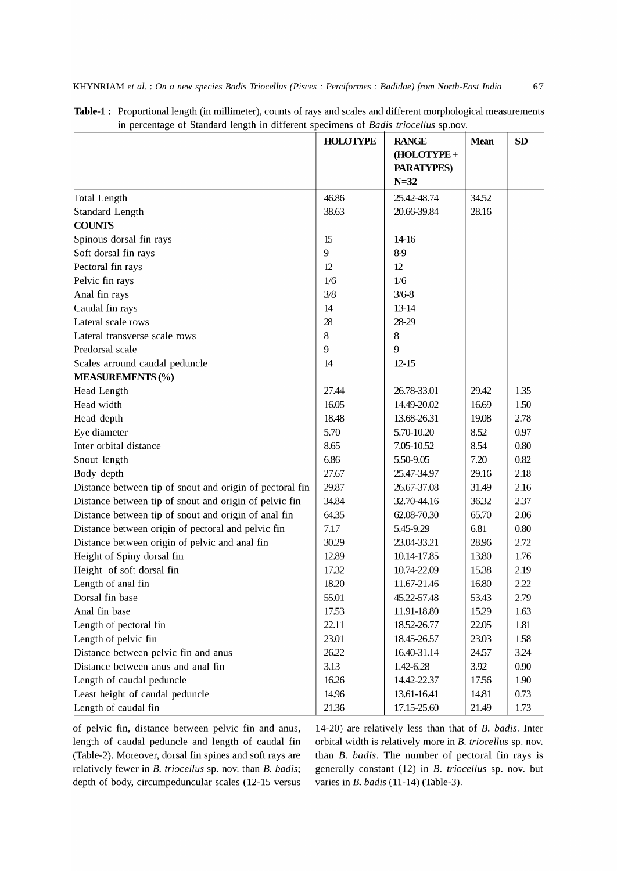|                                                          | <b>HOLOTYPE</b> | <b>RANGE</b><br>(HOLOTYPE+<br><b>PARATYPES)</b><br>$N=32$ | <b>Mean</b> | <b>SD</b> |
|----------------------------------------------------------|-----------------|-----------------------------------------------------------|-------------|-----------|
| <b>Total Length</b>                                      | 46.86           | 25.42-48.74                                               | 34.52       |           |
| <b>Standard Length</b>                                   | 38.63           | 20.66-39.84                                               | 28.16       |           |
| <b>COUNTS</b>                                            |                 |                                                           |             |           |
| Spinous dorsal fin rays                                  | 15              | 14-16                                                     |             |           |
| Soft dorsal fin rays                                     | 9               | 8-9                                                       |             |           |
| Pectoral fin rays                                        | 12              | 12                                                        |             |           |
| Pelvic fin rays                                          | 1/6             | 1/6                                                       |             |           |
| Anal fin rays                                            | 3/8             | $3/6 - 8$                                                 |             |           |
| Caudal fin rays                                          | 14              | 13-14                                                     |             |           |
| Lateral scale rows                                       | 28              | 28-29                                                     |             |           |
| Lateral transverse scale rows                            | 8               | 8                                                         |             |           |
| Predorsal scale                                          | 9               | 9                                                         |             |           |
| Scales arround caudal peduncle                           | 14              | $12 - 15$                                                 |             |           |
| <b>MEASUREMENTS (%)</b>                                  |                 |                                                           |             |           |
| <b>Head Length</b>                                       | 27.44           | 26.78-33.01                                               | 29.42       | 1.35      |
| Head width                                               | 16.05           | 14.49-20.02                                               | 16.69       | 1.50      |
| Head depth                                               | 18.48           | 13.68-26.31                                               | 19.08       | 2.78      |
| Eye diameter                                             | 5.70            | 5.70-10.20                                                | 8.52        | 0.97      |
| Inter orbital distance                                   | 8.65            | 7.05-10.52                                                | 8.54        | 0.80      |
| Snout length                                             | 6.86            | 5.50-9.05                                                 | 7.20        | 0.82      |
| Body depth                                               | 27.67           | 25.47-34.97                                               | 29.16       | 2.18      |
| Distance between tip of snout and origin of pectoral fin | 29.87           | 26.67-37.08                                               | 31.49       | 2.16      |
| Distance between tip of snout and origin of pelvic fin   | 34.84           | 32.70-44.16                                               | 36.32       | 2.37      |
| Distance between tip of snout and origin of anal fin     | 64.35           | 62.08-70.30                                               | 65.70       | 2.06      |
| Distance between origin of pectoral and pelvic fin       | 7.17            | 5.45-9.29                                                 | 6.81        | 0.80      |
| Distance between origin of pelvic and anal fin           | 30.29           | 23.04-33.21                                               | 28.96       | 2.72      |
| Height of Spiny dorsal fin                               | 12.89           | 10.14-17.85                                               | 13.80       | 1.76      |
| Height of soft dorsal fin                                | 17.32           | 10.74-22.09                                               | 15.38       | 2.19      |
| Length of anal fin                                       | 18.20           | 11.67-21.46                                               | 16.80       | 2.22      |
| Dorsal fin base                                          | 55.01           | 45.22-57.48                                               | 53.43       | 2.79      |
| Anal fin base                                            | 17.53           | 11.91-18.80                                               | 15.29       | 1.63      |
| Length of pectoral fin                                   | 22.11           | 18.52-26.77                                               | 22.05       | 1.81      |
| Length of pelvic fin                                     | 23.01           | 18.45-26.57                                               | 23.03       | 1.58      |
| Distance between pelvic fin and anus                     | 26.22           | 16.40-31.14                                               | 24.57       | 3.24      |
| Distance between anus and anal fin                       | 3.13            | 1.42-6.28                                                 | 3.92        | 0.90      |
| Length of caudal peduncle                                | 16.26           | 14.42-22.37                                               | 17.56       | 1.90      |
| Least height of caudal peduncle                          | 14.96           | 13.61-16.41                                               | 14.81       | 0.73      |
| Length of caudal fin                                     | 21.36           | 17.15-25.60                                               | 21.49       | 1.73      |

| Table-1: Proportional length (in millimeter), counts of rays and scales and different morphological measurements |
|------------------------------------------------------------------------------------------------------------------|
| in percentage of Standard length in different specimens of Badis triocellus sp.nov.                              |

of pelvic fin, distance between pelvic fin and anus, length of caudal peduncle and length of caudal fin (Table-2). Moreover, dorsal fin spines and soft rays are relatively fewer in B. *triocellus* sp. nov. than B. *badis;*  depth of body, circumpeduncular scales (12-15 versus

14-20) are relatively less than that of B. *badis.* Inter orbital width is relatively more in B. *triocellus* sp. nov. than B. *badis.* The number of pectoral fin rays is generally constant (12) in B. *triocellus* sp. nov. but varies in B. *badis* (11-14) (Table-3).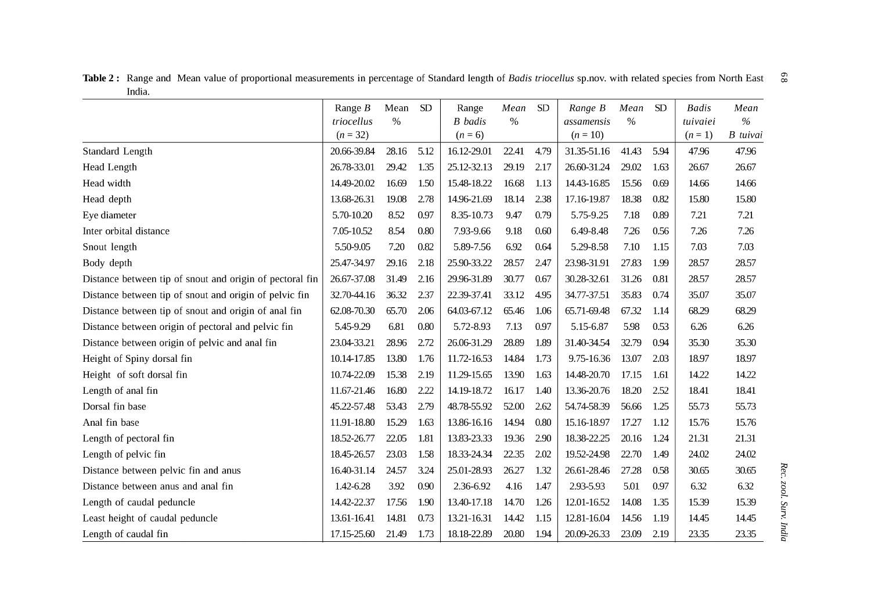Table 2: Range and Mean value of proportional measurements in percentage of Standard length of *Badis triocellus* sp.nov. with related species from North East  $\degree$   $\degree$ India.

|                                                          | Range $B$   | Mean          | SD   | Range          | Mean          | ${\rm SD}$ | Range B     | Mean          | <b>SD</b> | <b>Badis</b> | Mean            |
|----------------------------------------------------------|-------------|---------------|------|----------------|---------------|------------|-------------|---------------|-----------|--------------|-----------------|
|                                                          | triocellus  | $\frac{0}{0}$ |      | <b>B</b> badis | $\frac{0}{0}$ |            | assamensis  | $\frac{0}{0}$ |           | tuivaiei     | $\%$            |
|                                                          | $(n = 32)$  |               |      | $(n = 6)$      |               |            | $(n = 10)$  |               |           | $(n = 1)$    | <b>B</b> tuivai |
| Standard Length                                          | 20.66-39.84 | 28.16         | 5.12 | 16.12-29.01    | 22.41         | 4.79       | 31.35-51.16 | 41.43         | 5.94      | 47.96        | 47.96           |
| <b>Head Length</b>                                       | 26.78-33.01 | 29.42         | 1.35 | 25.12-32.13    | 29.19         | 2.17       | 26.60-31.24 | 29.02         | 1.63      | 26.67        | 26.67           |
| Head width                                               | 14.49-20.02 | 16.69         | 1.50 | 15.48-18.22    | 16.68         | 1.13       | 14.43-16.85 | 15.56         | 0.69      | 14.66        | 14.66           |
| Head depth                                               | 13.68-26.31 | 19.08         | 2.78 | 14.96-21.69    | 18.14         | 2.38       | 17.16-19.87 | 18.38         | 0.82      | 15.80        | 15.80           |
| Eye diameter                                             | 5.70-10.20  | 8.52          | 0.97 | 8.35-10.73     | 9.47          | 0.79       | 5.75-9.25   | 7.18          | 0.89      | 7.21         | 7.21            |
| Inter orbital distance                                   | 7.05-10.52  | 8.54          | 0.80 | 7.93-9.66      | 9.18          | 0.60       | 6.49-8.48   | 7.26          | 0.56      | 7.26         | 7.26            |
| Snout length                                             | 5.50-9.05   | 7.20          | 0.82 | 5.89-7.56      | 6.92          | 0.64       | 5.29-8.58   | 7.10          | 1.15      | 7.03         | 7.03            |
| Body depth                                               | 25.47-34.97 | 29.16         | 2.18 | 25.90-33.22    | 28.57         | 2.47       | 23.98-31.91 | 27.83         | 1.99      | 28.57        | 28.57           |
| Distance between tip of snout and origin of pectoral fin | 26.67-37.08 | 31.49         | 2.16 | 29.96-31.89    | 30.77         | 0.67       | 30.28-32.61 | 31.26         | 0.81      | 28.57        | 28.57           |
| Distance between tip of snout and origin of pelvic fin   | 32.70-44.16 | 36.32         | 2.37 | 22.39-37.41    | 33.12         | 4.95       | 34.77-37.51 | 35.83         | 0.74      | 35.07        | 35.07           |
| Distance between tip of snout and origin of anal fin     | 62.08-70.30 | 65.70         | 2.06 | 64.03-67.12    | 65.46         | 1.06       | 65.71-69.48 | 67.32         | 1.14      | 68.29        | 68.29           |
| Distance between origin of pectoral and pelvic fin       | 5.45-9.29   | 6.81          | 0.80 | 5.72-8.93      | 7.13          | 0.97       | 5.15-6.87   | 5.98          | 0.53      | 6.26         | 6.26            |
| Distance between origin of pelvic and anal fin           | 23.04-33.21 | 28.96         | 2.72 | 26.06-31.29    | 28.89         | 1.89       | 31.40-34.54 | 32.79         | 0.94      | 35.30        | 35.30           |
| Height of Spiny dorsal fin                               | 10.14-17.85 | 13.80         | 1.76 | 11.72-16.53    | 14.84         | 1.73       | 9.75-16.36  | 13.07         | 2.03      | 18.97        | 18.97           |
| Height of soft dorsal fin                                | 10.74-22.09 | 15.38         | 2.19 | 11.29-15.65    | 13.90         | 1.63       | 14.48-20.70 | 17.15         | 1.61      | 14.22        | 14.22           |
| Length of anal fin                                       | 11.67-21.46 | 16.80         | 2.22 | 14.19-18.72    | 16.17         | 1.40       | 13.36-20.76 | 18.20         | 2.52      | 18.41        | 18.41           |
| Dorsal fin base                                          | 45.22-57.48 | 53.43         | 2.79 | 48.78-55.92    | 52.00         | 2.62       | 54.74-58.39 | 56.66         | 1.25      | 55.73        | 55.73           |
| Anal fin base                                            | 11.91-18.80 | 15.29         | 1.63 | 13.86-16.16    | 14.94         | 0.80       | 15.16-18.97 | 17.27         | 1.12      | 15.76        | 15.76           |
| Length of pectoral fin                                   | 18.52-26.77 | 22.05         | 1.81 | 13.83-23.33    | 19.36         | 2.90       | 18.38-22.25 | 20.16         | 1.24      | 21.31        | 21.31           |
| Length of pelvic fin                                     | 18.45-26.57 | 23.03         | 1.58 | 18.33-24.34    | 22.35         | 2.02       | 19.52-24.98 | 22.70         | 1.49      | 24.02        | 24.02           |
| Distance between pelvic fin and anus                     | 16.40-31.14 | 24.57         | 3.24 | 25.01-28.93    | 26.27         | 1.32       | 26.61-28.46 | 27.28         | 0.58      | 30.65        | 30.65           |
| Distance between anus and anal fin                       | 1.42-6.28   | 3.92          | 0.90 | 2.36-6.92      | 4.16          | 1.47       | 2.93-5.93   | 5.01          | 0.97      | 6.32         | 6.32            |
| Length of caudal peduncle                                | 14.42-22.37 | 17.56         | 1.90 | 13.40-17.18    | 14.70         | 1.26       | 12.01-16.52 | 14.08         | 1.35      | 15.39        | 15.39           |
| Least height of caudal peduncle                          | 13.61-16.41 | 14.81         | 0.73 | 13.21-16.31    | 14.42         | 1.15       | 12.81-16.04 | 14.56         | 1.19      | 14.45        | 14.45           |
| Length of caudal fin                                     | 17.15-25.60 | 21.49         | 1.73 | 18.18-22.89    | 20.80         | 1.94       | 20.09-26.33 | 23.09         | 2.19      | 23.35        | 23.35           |

Rec. zool Surv, Inc tia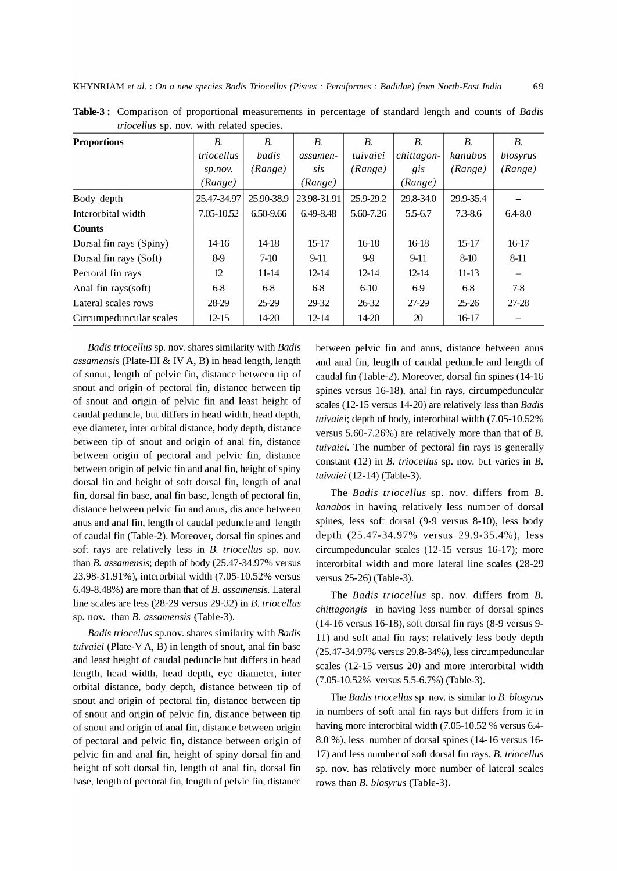| <b>Proportions</b>      | В.          | В.         | В.          | В.        | В.         | <b>B.</b>   | В.          |  |  |  |
|-------------------------|-------------|------------|-------------|-----------|------------|-------------|-------------|--|--|--|
|                         | triocellus  | badis      | assamen-    | tuivaiei  | chittagon- | kanabos     | blosyrus    |  |  |  |
|                         | sp.nov.     | (Range)    | sis         | (Range)   | gis        | (Range)     | (Range)     |  |  |  |
|                         | (Range)     |            | (Range)     |           | (Range)    |             |             |  |  |  |
| Body depth              | 25.47-34.97 | 25.90-38.9 | 23.98-31.91 | 25.9-29.2 | 29.8-34.0  | 29.9-35.4   |             |  |  |  |
| Interorbital width      | 7.05-10.52  | 6.50-9.66  | 6.49-8.48   | 5.60-7.26 | 5.5-6.7    | $7.3 - 8.6$ | $6.4 - 8.0$ |  |  |  |
| <b>Counts</b>           |             |            |             |           |            |             |             |  |  |  |
| Dorsal fin rays (Spiny) | 14-16       | 14-18      | 15-17       | 16-18     | 16-18      | $15 - 17$   | 16-17       |  |  |  |
| Dorsal fin rays (Soft)  | 8-9         | $7-10$     | $9-11$      | 9-9       | $9-11$     | $8 - 10$    | $8 - 11$    |  |  |  |
| Pectoral fin rays       | 12          | 11-14      | $12 - 14$   | $12 - 14$ | $12 - 14$  | $11-13$     |             |  |  |  |
| Anal fin rays(soft)     | 6-8         | 6-8        | 6-8         | $6 - 10$  | 6-9        | 6-8         | $7-8$       |  |  |  |
| Lateral scales rows     | 28-29       | 25-29      | 29-32       | 26-32     | 27-29      | 25-26       | 27-28       |  |  |  |
| Circumpeduncular scales | $12 - 15$   | 14-20      | $12 - 14$   | 14-20     | 20         | 16-17       |             |  |  |  |

**Table-3:** Comparison of proportional measurements in percentage of standard length and counts of *Badis triocellus* sp. nov. with related species.

*Badis triocellus* sp. nov. shares similarity with *Badis assamensis* (Plate-III & IV A, B) in head length, length of snout, length of pelvic fin, distance between tip of snout and origin of pectoral fin, distance between tip of snout and origin of pelvic fin and least height of caudal peduncle, but differs in head width, head depth, eye diameter, inter orbital distance, body depth, distance between tip of snout and origin of anal fin, distance between origin of pectoral and pelvic fin, distance between origin of pelvic fin and anal fin, height of spiny dorsal fin and height of soft dorsal fin, length of anal fin, dorsal fin base, anal fin base, length of pectoral fin, distance between pelvic fin and anus, distance between anus and anal fin, length of caudal peduncle and length of caudal fin (Table-2). Moreover, dorsal fin spines and soft rays are relatively less in B. *triocellus* sp. nov. than B. *assamensis;* depth of body (25.47-34.97% versus 23.98-31.91%), interorbital width (7.05-10.52% versus 6.49-8.48%) are more than that of B. *assamensis.* Lateral line scales are less (28-29 versus 29-32) in B. *triocellus*  sp. nov. than B. *assamensis* (Table-3).

*Badis triocellus* sp.nov. shares similarity with *Badis tuivaiei* (Plate-VA, B) in length of snout, anal fin base and least height of caudal peduncle but differs in head length, head width, head depth, eye diameter, inter orbital distance, body depth, distance between tip of snout and origin of pectoral fin, distance between tip of snout and origin of pelvic fin, distance between tip of snout and origin of anal fin, distance between origin of pectoral and pelvic fin, distance between origin of pelvic fin and anal fin, height of spiny dorsal fin and height of soft dorsal fin, length of anal fin, dorsal fin base, length of pectoral fin, length of pelvic fin, distance between pelvic fin and anus, distance between anus and anal fin, length of caudal peduncle and length of caudal fin (Table-2). Moreover, dorsal fin spines (14-16 spines versus 16-18), anal fin rays, circumpeduncular scales (12-15 versus 14-20) are relatively less than *Badis tuivaiei;* depth of body, interorbital width (7.05-10.52% versus 5.60-7.26%) are relatively more than that of B. *tuivaiei.* The number of pectoral fin rays is generally constant (12) in B. *triocellus* sp. nov. but varies in B. *tuivaiei* (12-14) (Table-3).

The *Badis triocellus* sp. nov. differs from B. *kanabos* in having relatively less number of dorsal spines, less soft dorsal (9-9 versus 8-10), less body depth (25.47-34.97% versus 29.9-35.4%), less circumpeduncular scales (12-15 versus 16-17); more interorbital width and more lateral line scales (28-29 versus 25-26) (Table-3).

The *Badis triocellus* sp. nov. differs from B. *chittagongis* in having less number of dorsal spines (14-16 versus 16-18), soft dorsal fin rays (8-9 versus 9- 11) and soft anal fin rays; relatively less body depth (25.47-34.97% versus 29.8-34%), less circumpeduncular scales (12-15 versus 20) and more interorbital width (7.05-10.52% versus 5.5-6.7%) (Table-3).

The *Badis triocellus* sp. nov. is similar to B. *blosyrus*  in numbers of soft anal fin rays but differs from it in having more interorbital width (7.05-10.52 % versus 6.4- 8.0 %), less number of dorsal spines (14-16 versus 16- 17) and less number of soft dorsal fin rays. B. *triocellus*  sp. nov. has relatively more number of lateral scales rows than B. *blosyrus* (Table-3).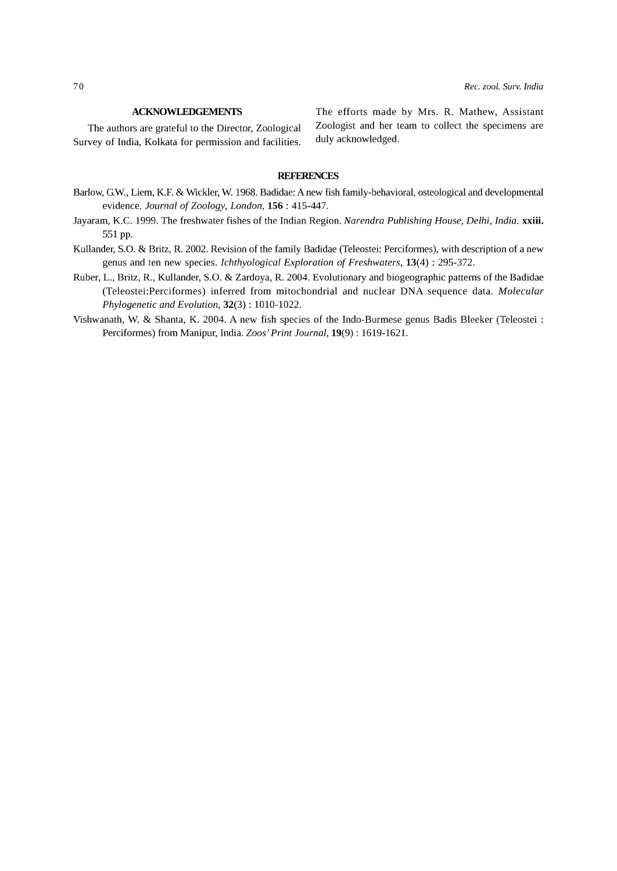Survey of India, Kolkata for permission and facilities. duly acknowledged.

ACKNOWLEDGEMENTS The efforts made by Mrs. R. Mathew, Assistant The authors are grateful to the Director, Zoological Zoologist and her team to collect the specimens are

### **REFERENCES**

- Barlow, G.W., Liem, K.F. & Wickler, W. 1968. Badidae: A new fish family-behavioral, osteological and developmental evidence. *Journal* of *Zoology, London,* 156 : 415-447.
- Jayaram, K.C. 1999. The freshwater fishes of the Indian Region. *Narendra Publishing House, Delhi, India.* xxiii. 551 pp.
- Kullander, S.O. & Britz, R. 2002. Revision of the family Badidae (Teleostei: Perciformes), with description of a new genus and ten new species. *Ichthyological Exploration* of *Freshwaters,* 13(4) : 295-372.
- Ruber, L., Britz, R., Kullander, S.O. & Zardoya, R. 2004. Evolutionary and biogeographic patterns of the Badidae (Teleostei:Perciformes) inferred from mitochondrial and nuclear DNA sequence data. *Molecular Phylogenetic and Evolution,* 32(3) : 1010-1022.
- Vishwanath, W. & Shanta, K. 2004. A new fish species of the Indo-Burmese genus Badis Bleeker (Teleostei : Perciformes) from Manipur, India. *Zoos' Print Journal,* 19(9) : 1619-1621.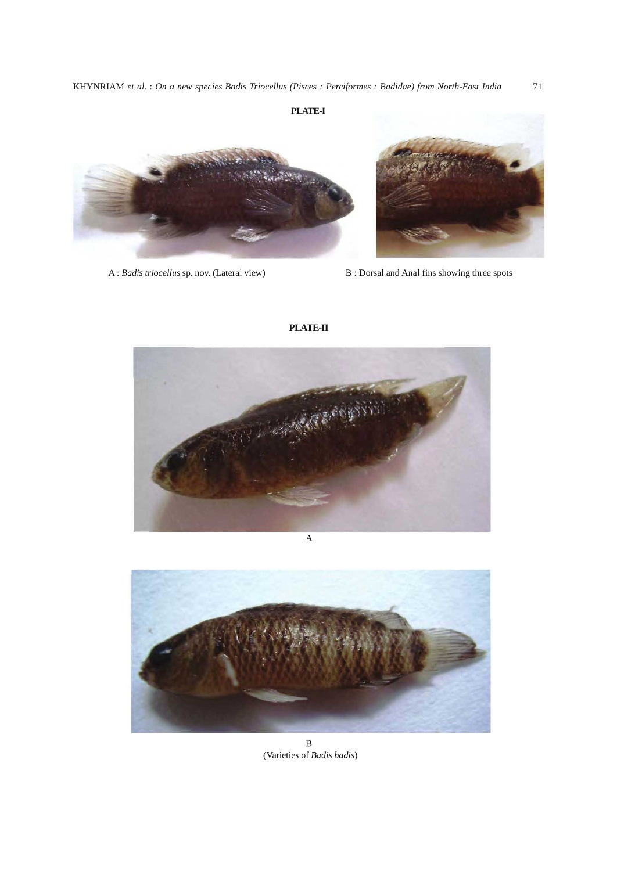## **PLATE-I**





A: *Badis triocellus* sp. nov. (Lateral view) B: Dorsal and Anal fins showing three spots

PLATE-II





B (Varieties of *Badis badis)*